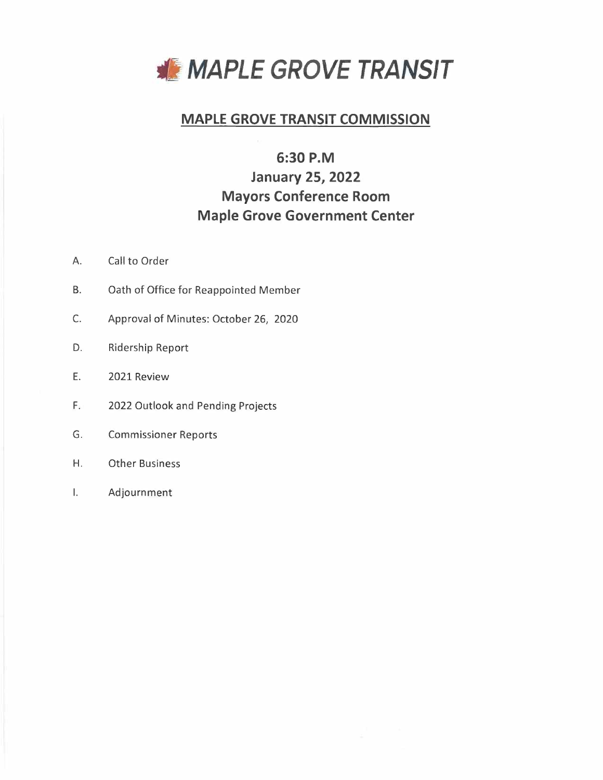

# **MAPLE GROVE TRANSIT COMMISSION**

# **6:30 P.M**

# **January 25, 2022 Mayors Conference Room Maple Grove Government Center**

- A. Call to Order
- B. Oath of Office for Reappointed Member
- C. Approval of Minutes: October 26, 2020
- D. Ridership Report
- E. 2021 Review
- F. 2022 Outlook and Pending Projects
- G. Commissioner Reports
- H. Other Business
- I. Adjournment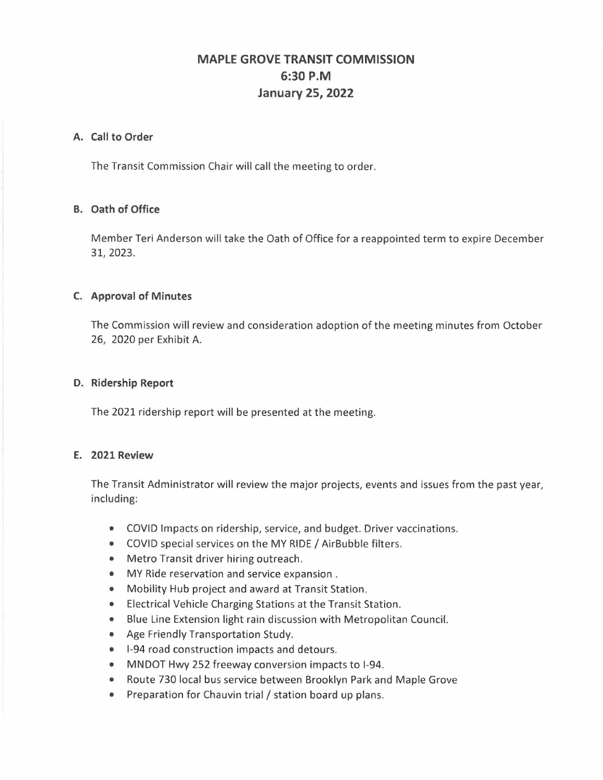# **MAPLE GROVE TRANSIT COMMISSION 6:30 P.M January 25, 2022**

## **A. Call to Order**

The Transit Commission Chair will call the meeting to order.

## **B. Oath of Office**

Member Teri Anderson will take the Oath of Office for a reappointed term to expire December 31, 2023.

## **C. Approval of Minutes**

The Commission will review and consideration adoption of the meeting minutes from October 26, 2020 per Exhibit A.

## **D. Ridership Report**

The 2021 ridership report will be presented at the meeting.

## **E. 2021 Review**

The Transit Administrator will review the major projects, events and issues from the past year, including:

- COVID Impacts on ridership, service, and budget. Driver vaccinations.
- COVID special services on the MY RIDE/ AirBubble filters.
- Metro Transit driver hiring outreach.
- MY Ride reservation and service expansion .
- Mobility Hub project and award at Transit Station.
- Electrical Vehicle Charging Stations at the Transit Station.
- Blue Line Extension light rain discussion with Metropolitan Council.
- Age Friendly Transportation Study.
- 1-94 road construction impacts and detours.
- MNDOT Hwy 252 freeway conversion impacts to I-94.
- Route 730 local bus service between Brooklyn Park and Maple Grove
- Preparation for Chauvin trial / station board up plans.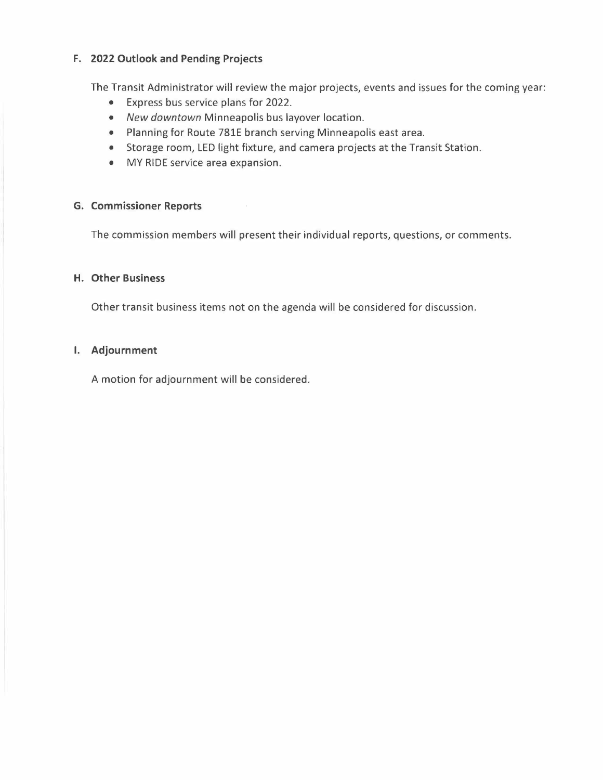## **F. 2022 Outlook and Pending Projects**

The Transit Administrator will review the major projects, events and issues for the coming year:

- Express bus service plans for 2022.
- *New downtown* Minneapolis bus layover location.
- Planning for Route 781E branch serving Minneapolis east area.
- Storage room, LED light fixture, and camera projects at the Transit Station.
- MY RIDE service area expansion.

## **G. Commissioner Reports**

The commission members will present their individual reports, questions, or comments.

## **H. Other Business**

Other transit business items not on the agenda will be considered for discussion.

### I. **Adjournment**

A motion for adjournment will be considered.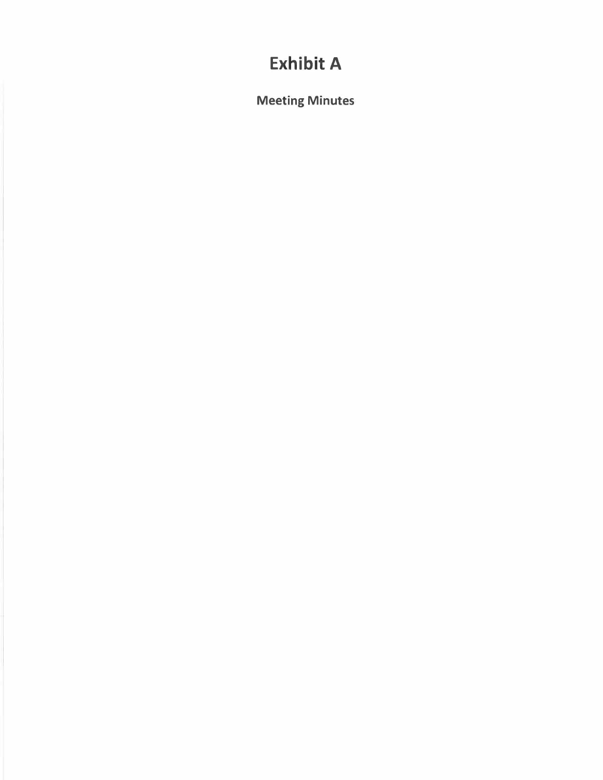# **Exhibit A**

Meeting Minutes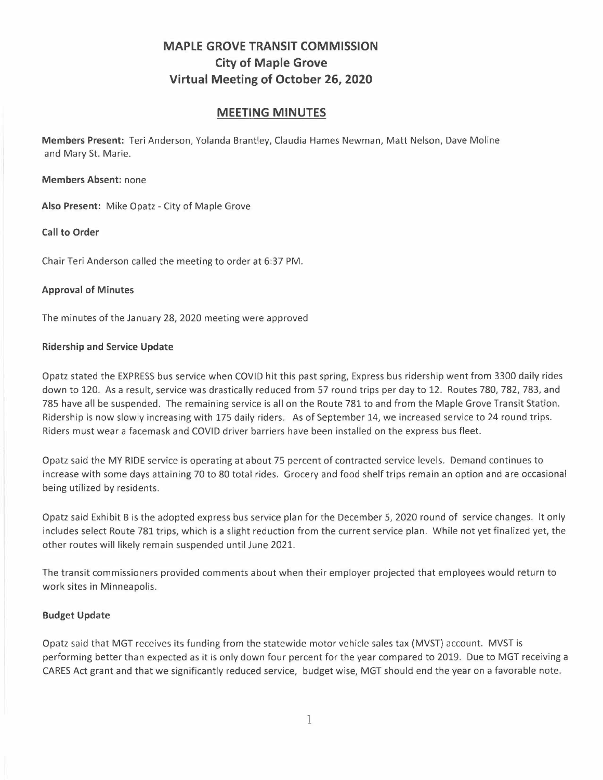# **MAPLE GROVE TRANSIT COMMISSION City of Maple Grove Virtual Meeting of October 26, 2020**

## **MEETING MINUTES**

**Members Present:** Teri Anderson, Yolanda Brantley, Claudia Hames Newman, Matt Nelson, Dave Moline and Mary St. Marie.

**Members Absent:** none

Also Present: Mike Opatz - City of Maple Grove

**Call to Order** 

Chair Teri Anderson called the meeting to order at 6:37 PM.

## **Approval of Minutes**

The minutes of the January 28, 2020 meeting were approved

### **Ridership and Service Update**

Opatz stated the EXPRESS bus service when COVID hit this past spring, Express bus ridership went from 3300 daily rides down to 120. As a result, service was drastically reduced from 57 round trips per day to 12. Routes 780, 782, 783, and 785 have all be suspended. The remaining service is all on the Route 781 to and from the Maple Grove Transit Station. Ridership is now slowly increasing with 175 daily riders. As of September 14, we increased service to 24 round trips. Riders must wear a facemask and COVID driver barriers have been installed on the express bus fleet.

Opatz said the MY RIDE service is operating at about 75 percent of contracted service levels. Demand continues to increase with some days attaining 70 to 80 total rides. Grocery and food shelf trips remain an option and are occasional being utilized by residents.

Opatz said Exhibit Bis the adopted express bus service plan for the December 5, 2020 round of service changes. It only includes select Route 781 trips, which is a slight reduction from the current service plan. While not yet finalized yet, the other routes will likely remain suspended until June 2021.

The transit commissioners provided comments about when their employer projected that employees would return to work sites in Minneapolis.

## **Budget Update**

Opatz said that MGT receives its funding from the statewide motor vehicle sales tax (MVST) account. MVST is performing better than expected as it is only down four percent for the year compared to 2019. Due to MGT receiving a CARES Act grant and that we significantly reduced service, budget wise, MGT should end the year on a favorable note.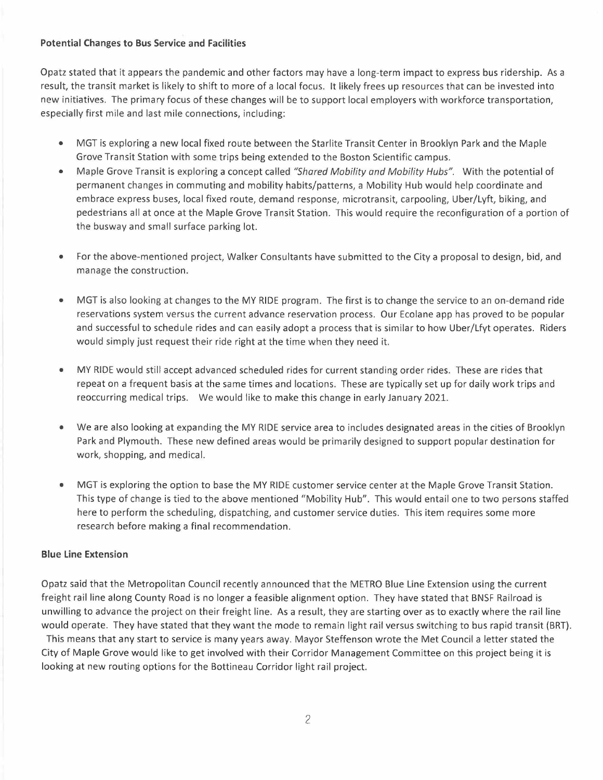### **Potential Changes to Bus Service and Facilities**

Opatz stated that it appears the pandemic and other factors may have a long-term impact to express bus ridership. As a result, the transit market is likely to shift to more of a local focus. It likely frees up resources that can be invested into new initiatives. The primary focus of these changes will be to support local employers with workforce transportation, especially first mile and last mile connections, including:

- MGT is exploring a new local fixed route between the Starlite Transit Center in Brooklyn Park and the Maple Grove Transit Station with some trips being extended to the Boston Scientific campus.
- Maple Grove Transit is exploring a concept called *"Shared Mobility and Mobility Hubs".* With the potential of permanent changes in commuting and mobility habits/patterns, a Mobility Hub would help coordinate and embrace express buses, local fixed route, demand response, microtransit, carpooling, Uber/Lyft, biking, and pedestrians all at once at the Maple Grove Transit Station. This would require the reconfiguration of a portion of the busway and small surface parking lot.
- For the above-mentioned project, Walker Consultants have submitted to the City a proposal to design, bid, and manage the construction.
- MGT is also looking at changes to the MY RIDE program. The first is to change the service to an on-demand ride reservations system versus the current advance reservation process. Our Ecolane app has proved to be popular and successful to schedule rides and can easily adopt a process that is similar to how Uber/Lfyt operates. Riders would simply just request their ride right at the time when they need it.
- MY RIDE would still accept advanced scheduled rides for current standing order rides. These are rides that repeat on a frequent basis at the same times and locations. These are typically set up for daily work trips and reoccurring medical trips. We would like to make this change in early January 2021.
- We are also looking at expanding the MY RIDE service area to includes designated areas in the cities of Brooklyn Park and Plymouth. These new defined areas would be primarily designed to support popular destination for work, shopping, and medical.
- MGT is exploring the option to base the MY RIDE customer service center at the Maple Grove Transit Station. This type of change is tied to the above mentioned "Mobility Hub". This would entail one to two persons staffed here to perform the scheduling, dispatching, and customer service duties. This item requires some more research before making a final recommendation.

## **Blue Line Extension**

Opatz said that the Metropolitan Council recently announced that the METRO Blue Line Extension using the current freight rail line along County Road is no longer a feasible alignment option. They have stated that BNSF Railroad is unwilling to advance the project on their freight line. As a result, they are starting over as to exactly where the rail line would operate. They have stated that they want the mode to remain light rail versus switching to bus rapid transit (BRT).

This means that any start to service is many years away. Mayor Steffenson wrote the Met Council a letter stated the City of Maple Grove would like to get involved with their Corridor Management Committee on this project being it is looking at new routing options for the Bottineau Corridor light rail project.